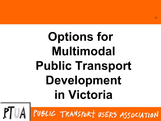# **Options for Multimodal Public Transport Development in Victoria**

PUBLIC TRANSPORT USERS ASSOCIATION

1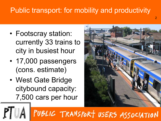#### Public transport: for mobility and productivity

- Footscray station: currently 33 trains to city in busiest hour
- 17,000 passengers (cons. estimate)
- West Gate Bridge citybound capacity: 7,500 cars per hour



2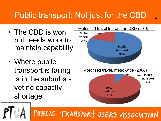#### Public transport: Not just for the CBD

- The CBD is won: but needs work to maintain capability
- Where public transport is failing is in the suburbs yet no capacity shortage





![](_page_2_Picture_5.jpeg)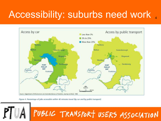# Accessibility: suburbs need work

![](_page_3_Figure_1.jpeg)

Figure 4. Percentage of jobs accessible within 40 minutes travel (by car and by public transport)

![](_page_3_Picture_3.jpeg)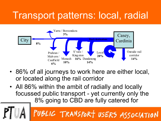### Transport patterns: local, radial

![](_page_4_Figure_1.jpeg)

- 86% of all journeys to work here are either local, or located along the rail corridor
- All 86% within the ambit of radially and locally focussed public transport - yet currently only the 8% going to CBD are fully catered for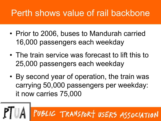#### Perth shows value of rail backbone

- Prior to 2006, buses to Mandurah carried 16,000 passengers each weekday
- The train service was forecast to lift this to 25,000 passengers each weekday
- By second year of operation, the train was carrying 50,000 passengers per weekday: it now carries 75,000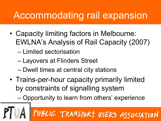# Accommodating rail expansion

- Capacity limiting factors in Melbourne: EWLNA's Analysis of Rail Capacity (2007)
	- Limited sectorisation
	- Layovers at Flinders Street
	- Dwell times at central city stations
- Trains-per-hour capacity primarily limited by constraints of signalling system

– Opportunity to learn from others' experience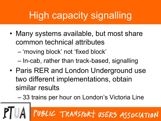# High capacity signalling

• Many systems available, but most share common technical attributes

– 'moving block' not 'fixed block'

– In-cab, rather than track-based, signalling

- Paris RER and London Underground use two different implementations, obtain similar results
	- 33 trains per hour on London's Victoria Line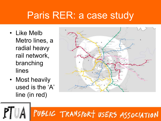#### Paris RER: a case study

- Like Melb Metro lines, a radial heavy rail network, branching lines
- Most heavily used is the 'A' line (in red)

![](_page_8_Figure_3.jpeg)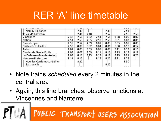# RER 'A' line timetable

| Nanterre-Prefecture<br>Houilles Carrieres-sur-Seine | 8 1 1 | 815<br>8,20 |      | 817 | 8.20 | 821 | 825<br>8.30 |     |
|-----------------------------------------------------|-------|-------------|------|-----|------|-----|-------------|-----|
| La Defense (Grande Arche)                           | 809   | 8 1 1       | 8.13 | 815 | 817  | 819 | 821         | 823 |
| Charles de Gaulle-Etoile                            | 805   | 807         | 809  | 811 | 813  | 815 | 817         | 819 |
| Auber                                               | 801   | 803         | 805  | 807 | 809  | 811 | 813         | 815 |
| <b>Chatelet-Les Halles</b>                          | 758   | 800         | 802  | 804 | 806  | 808 | 810         | 812 |
| Gare de Lyon                                        | 755   | 757         | 759  | 801 | 803  | 805 | 807         | 809 |
| Nation                                              | 751   | 753         | 755  | 757 | 759  | 801 | 803         | 805 |
| Vincennes                                           | 748   | 750         | 752  | 754 | 756  | 758 | 800         | 802 |
| ▼ Val de Fontenay                                   |       | 746         | 748  |     | 752  |     | 756         | 758 |
| Neuilly-Plaisance                                   |       | 743         |      |     | 749  |     | 753         |     |

- Note trains *scheduled* every 2 minutes in the central area
- Again, this line branches: observe junctions at Vincennes and Nanterre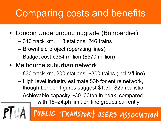# Comparing costs and benefits

- London Underground upgrade (Bombardier)
	- 310 track km, 113 stations, 246 trains
	- Brownfield project (operating lines)
	- Budget cost £354 million (\$570 million)
- Melbourne suburban network
	- 830 track km, 200 stations, ~300 trains (incl V/Line)
	- High level industry estimate \$3b for entire network, though London figures suggest \$1.5b–\$2b realistic
	- Achievable capacity ~30–33tph in peak, compared

with 16–24tph limit on line groups currently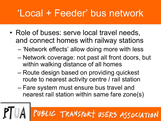# 'Local + Feeder' bus network

- Role of buses: serve local travel needs, and connect homes with railway stations
	- 'Network effects' allow doing more with less
	- Network coverage: not past all front doors, but within walking distance of all homes
	- Route design based on providing quickest route to nearest activity centre / rail station
	- Fare system must ensure bus travel and nearest rail station within same fare zone(s)